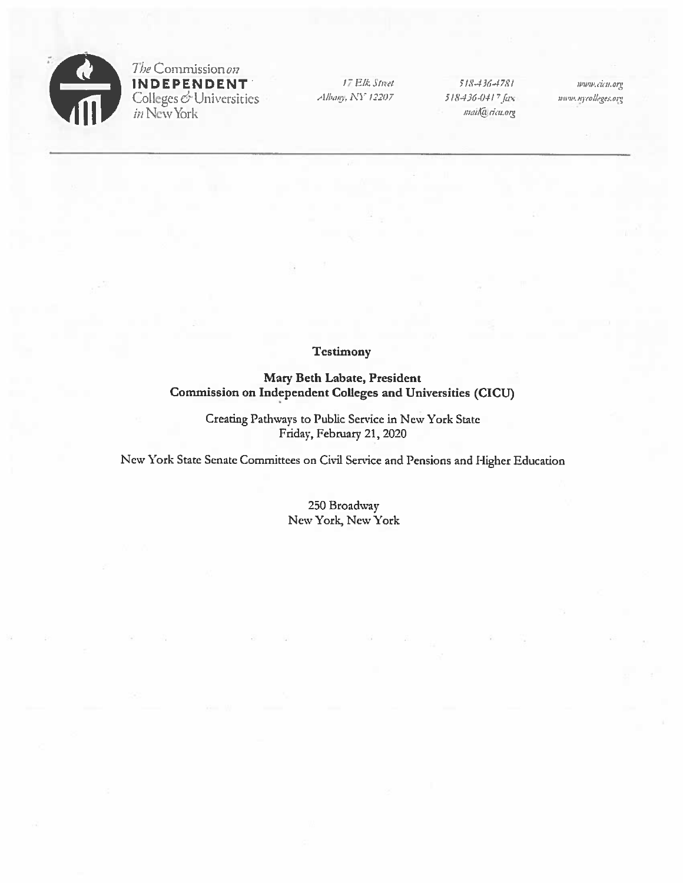

The Commission on **INDEPENDENT** Colleges & Universities<br>in New York

17 Elk Street Albany, NY 12207

518-436-4781 518-436-0417 fax mail@ricu.org

www.cicu.org uniw.nycolleges.org

## **Testimony**

Mary Beth Labate, President Commission on Independent Colleges and Universities (CICU)

> Creating Pathways to Public Service in New York State Friday, February 21, 2020

New York State Senate Committees on Civil Service and Pensions and Higher Education

250 Broadway New York, New York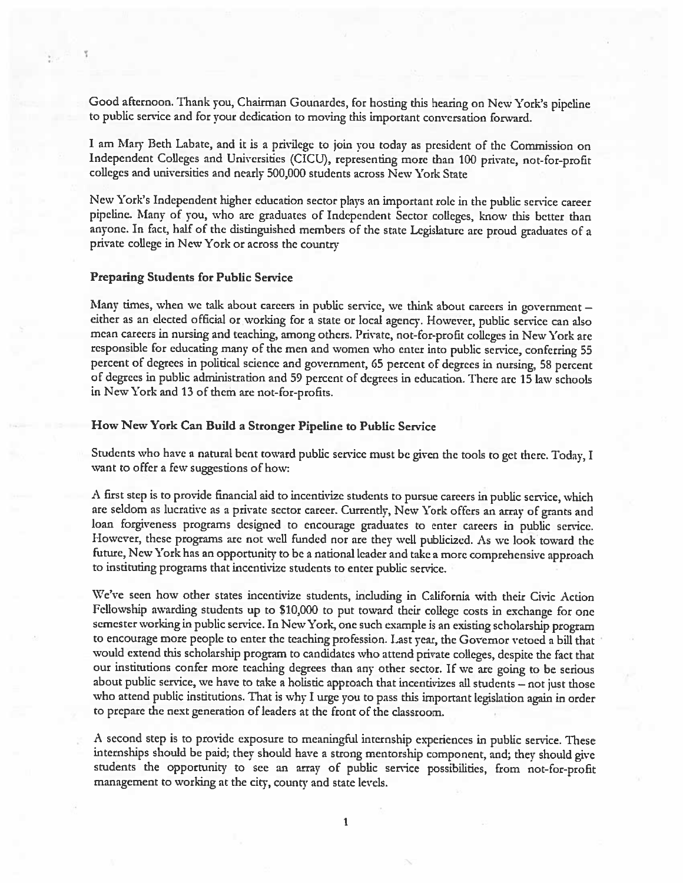Good afternoon. Thank you, Chairman Gounardes, for hosting this hearing on New York's <sup>p</sup>ipeline to public service and for your dedication to moving this important conversation forward.

<sup>I</sup> am Mary Beth Labate, and it is <sup>a</sup> privilege to join you today as president of the Commission on Independent Colleges and Universities (CICU), representing more than 100 private, not-for-profit colleges and universities and nearly 500,000 students across New York State

New York's Independent higher education sector <sup>p</sup>lays an important role in the public service career <sup>p</sup>ipeline. Many of you, who are graduates of Independent Sector colleges, know this bcuer than anyone. In fact, half of the distinguished members of the state Legislature are proud graduates of <sup>a</sup> private college in New York or across the country

## Preparing Students for Public Service

Many times, when we talk about careers in public service, we think about careers in government either as an elected official or working for a state or local agency. However, public service can also mean careers in nursing and teaching, among others. Private, not-for-profit colleges in New York are responsible for educating many of the men and women who enter into public service, conferring 55 percent of degrees in political science and government, <sup>65</sup> percent of degrees in nursing, <sup>58</sup> percent of degrees in public administration and <sup>59</sup> percent of degrees in education. There are <sup>15</sup> law schools in New York and 13 of them are not-for-profits.

## How Ncw York Can Build <sup>a</sup> Stronger Pipeline to Public Service

Students who have a natural bent toward public service must be given the tools to get there. Today, I want to offer <sup>a</sup> few suggestions of how:

A first step is to provide financial aid to incentivize students to pursue careers in public service, which are seldom as lucrative as <sup>a</sup> private sector career. Currently, New York offers an array of grants and loan forgiveness programs designed to encourage graduates to enter careers in public service. However, these programs are not well funded nor are they well publicized. As we look toward the future, New York has an opportunity to be <sup>a</sup> national leader and take <sup>a</sup> more comprehensive approach to instituting programs that incentivize students to enter public service.

We've seen how other states incentivize students, including in California with their Civic Action Fellowship awarding students up to 510,000 to put toward their college costs in exchange for one semester working in public service. In New York, one such example is an existing scholarship program to encourage more people to enter the teaching profession. Last year, the Governor vetoed <sup>a</sup> bill that would extend this scholarship program to candidates who attend private colleges, despite the fact that our institutions confer more teaching degrees than any other sector. If we are going to be serious about public service, we have to take <sup>a</sup> holistic approach that incentivizes all students — not just those who attend public institutions. That is why <sup>I</sup> urge you to pass this important legislation again in order to prepare the next generation of leaders at the front of the classroom.

<sup>A</sup> second step is to provide exposure to meaningful internship experiences in public service. These internships should be paid; they should have <sup>a</sup> strong mentorship component, and; they should <sup>g</sup>ive students the opportunity to see an array of public service possibilities, from not-for-profit management to working at the city, county and state levels.

I